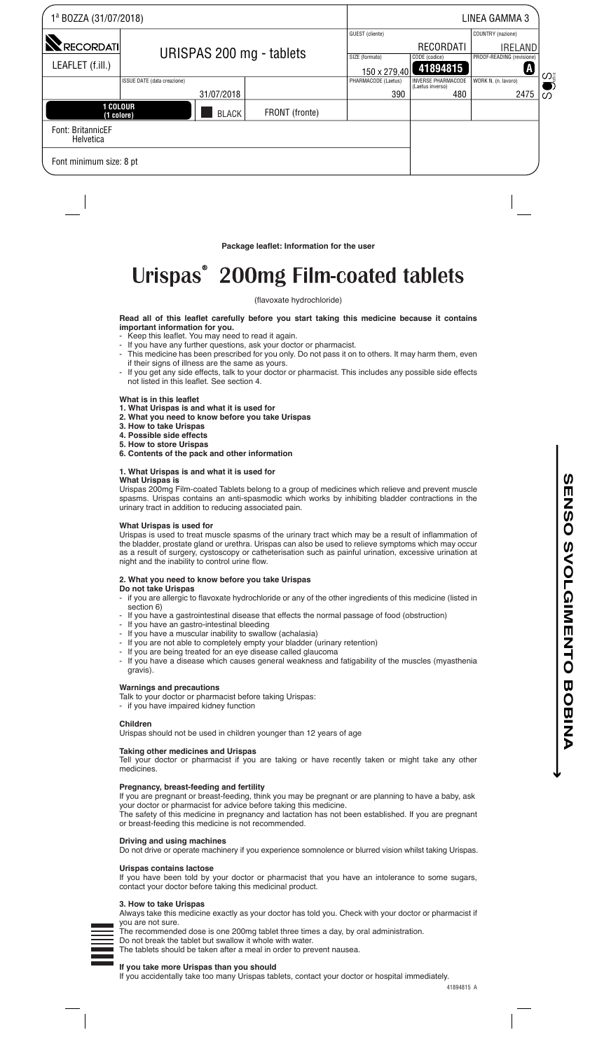| 1ª BOZZA (31/07/2018)          |                             | LINEA GAMMA 3 |                |                                |                                               |                                |
|--------------------------------|-----------------------------|---------------|----------------|--------------------------------|-----------------------------------------------|--------------------------------|
|                                |                             |               |                | GUEST (cliente)                |                                               | COUNTRY (nazione)              |
| <b>RECORDATI</b>               | URISPAS 200 mg - tablets    |               |                |                                | RECORDATI                                     | <b>IRELAND</b>                 |
| LEAFLET (f.ill.)               |                             |               |                | SIZE (formato)<br>150 x 279,40 | CODE (codice)<br>41894815                     | PROOF-READING (revisione)<br>A |
|                                | ISSUE DATE (data creazione) |               |                | PHARMACODE (Laetus)            | <b>INVERSE PHARMACODE</b><br>(Laetus inverso) | WORK N. (n. lavoro)            |
|                                |                             | 31/07/2018    |                | 390                            | 480                                           | 2475                           |
| <b>1 COLOUR</b><br>(1 colore)  |                             | <b>BLACK</b>  | FRONT (fronte) |                                |                                               |                                |
| Font: BritannicEF<br>Helvetica |                             |               |                |                                |                                               |                                |
| Font minimum size: 8 pt        |                             |               |                |                                |                                               |                                |

**Package leaflet: Information for the user**

# Urispas<sup>®</sup> 200mg Film-coated tablets

## (flavoxate hydrochloride)

# **Read all of this leaflet carefully before you start taking this medicine because it contains important information for you.**

- Keep this leaflet. You may need to read it again.
- If you have any further questions, ask your doctor or pharmacist. - This medicine has been prescribed for you only. Do not pass it on to others. It may harm them, even if their signs of illness are the same as yours.
- If you get any side effects, talk to your doctor or pharmacist. This includes any possible side effects not listed in this leaflet. See section 4.

# **What is in this leaflet**

- **1. What Urispas is and what it is used for**
- **2. What you need to know before you take Urispas**
- **3. How to take Urispas 4. Possible side effects**
- **5. How to store Urispas**
- **6. Contents of the pack and other information**

#### **1. What Urispas is and what it is used for**

## **What Urispas is**

Urispas 200mg Film-coated Tablets belong to a group of medicines which relieve and prevent muscle spasms. Urispas contains an anti-spasmodic which works by inhibiting bladder contractions in the urinary tract in addition to reducing associated pain.

## **What Urispas is used for**

Urispas is used to treat muscle spasms of the urinary tract which may be a result of inflammation of the bladder, prostate gland or urethra. Urispas can also be used to relieve symptoms which may occur as a result of surgery, cystoscopy or catheterisation such as painful urination, excessive urination at night and the inability to control urine flow.

#### **2. What you need to know before you take Urispas**

- **Do not take Urispas**
- if you are allergic to flavoxate hydrochloride or any of the other ingredients of this medicine (listed in section 6)
- If you have a gastrointestinal disease that effects the normal passage of food (obstruction)
- If you have an gastro-intestinal bleeding
- If you have a muscular inability to swallow (achalasia)
- If you are not able to completely empty your bladder (urinary retention)
- If you are being treated for an eye disease called glaucoma
- If you have a disease which causes general weakness and fatigability of the muscles (myasthenia gravis).

#### **Warnings and precautions**

- Talk to your doctor or pharmacist before taking Urispas:
- if you have impaired kidney function

## **Children**

Urispas should not be used in children younger than 12 years of age

#### **Taking other medicines and Urispas**

Tell your doctor or pharmacist if you are taking or have recently taken or might take any other medicines.

### **Pregnancy, breast-feeding and fertility**

If you are pregnant or breast-feeding, think you may be pregnant or are planning to have a baby, ask your doctor or pharmacist for advice before taking this medicine. The safety of this medicine in pregnancy and lactation has not been established. If you are pregnant or breast-feeding this medicine is not recommended.

#### **Driving and using machines**

Do not drive or operate machinery if you experience somnolence or blurred vision whilst taking Urispas.

# **Urispas contains lactose**

If you have been told by your doctor or pharmacist that you have an intolerance to some sugars, contact your doctor before taking this medicinal product.

## **3. How to take Urispas**

Always take this medicine exactly as your doctor has told you. Check with your doctor or pharmacist if you are not sure.

The recommended dose is one 200mg tablet three times a day, by oral administration.

# **If you take more Urispas than you should**

Do not break the tablet but swallow it whole with water.

The tablets should be taken after a meal in order to prevent nausea.

If you accidentally take too many Urispas tablets, contact your doctor or hospital immediately.